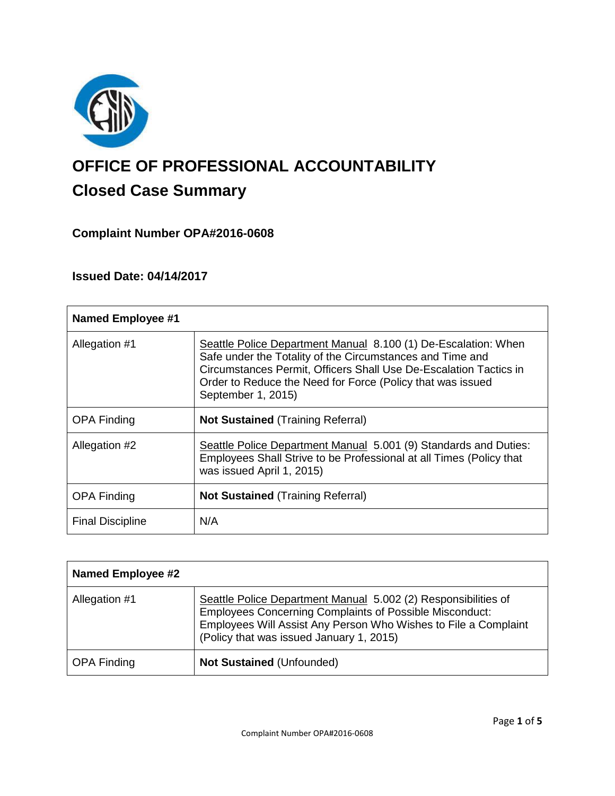

# **OFFICE OF PROFESSIONAL ACCOUNTABILITY Closed Case Summary**

# **Complaint Number OPA#2016-0608**

# **Issued Date: 04/14/2017**

| <b>Named Employee #1</b> |                                                                                                                                                                                                                                                                                      |
|--------------------------|--------------------------------------------------------------------------------------------------------------------------------------------------------------------------------------------------------------------------------------------------------------------------------------|
| Allegation #1            | Seattle Police Department Manual 8.100 (1) De-Escalation: When<br>Safe under the Totality of the Circumstances and Time and<br>Circumstances Permit, Officers Shall Use De-Escalation Tactics in<br>Order to Reduce the Need for Force (Policy that was issued<br>September 1, 2015) |
| <b>OPA Finding</b>       | <b>Not Sustained (Training Referral)</b>                                                                                                                                                                                                                                             |
| Allegation #2            | Seattle Police Department Manual 5.001 (9) Standards and Duties:<br>Employees Shall Strive to be Professional at all Times (Policy that<br>was issued April 1, 2015)                                                                                                                 |
| <b>OPA Finding</b>       | <b>Not Sustained (Training Referral)</b>                                                                                                                                                                                                                                             |
| <b>Final Discipline</b>  | N/A                                                                                                                                                                                                                                                                                  |

| <b>Named Employee #2</b> |                                                                                                                                                                                                                                                 |
|--------------------------|-------------------------------------------------------------------------------------------------------------------------------------------------------------------------------------------------------------------------------------------------|
| Allegation #1            | Seattle Police Department Manual 5.002 (2) Responsibilities of<br><b>Employees Concerning Complaints of Possible Misconduct:</b><br>Employees Will Assist Any Person Who Wishes to File a Complaint<br>(Policy that was issued January 1, 2015) |
| <b>OPA Finding</b>       | <b>Not Sustained (Unfounded)</b>                                                                                                                                                                                                                |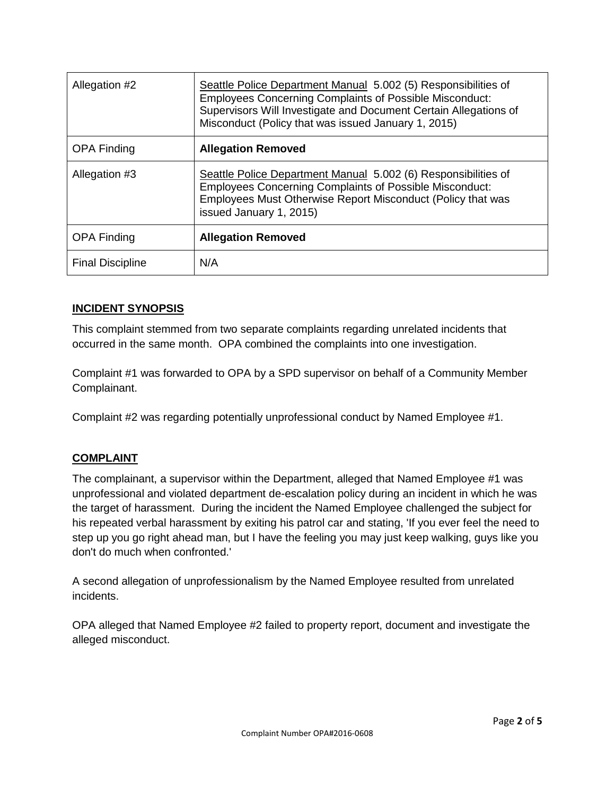| Allegation #2           | Seattle Police Department Manual 5.002 (5) Responsibilities of<br><b>Employees Concerning Complaints of Possible Misconduct:</b><br>Supervisors Will Investigate and Document Certain Allegations of<br>Misconduct (Policy that was issued January 1, 2015) |
|-------------------------|-------------------------------------------------------------------------------------------------------------------------------------------------------------------------------------------------------------------------------------------------------------|
| <b>OPA Finding</b>      | <b>Allegation Removed</b>                                                                                                                                                                                                                                   |
| Allegation #3           | Seattle Police Department Manual 5.002 (6) Responsibilities of<br><b>Employees Concerning Complaints of Possible Misconduct:</b><br>Employees Must Otherwise Report Misconduct (Policy that was<br>issued January 1, 2015)                                  |
| <b>OPA Finding</b>      | <b>Allegation Removed</b>                                                                                                                                                                                                                                   |
| <b>Final Discipline</b> | N/A                                                                                                                                                                                                                                                         |

#### **INCIDENT SYNOPSIS**

This complaint stemmed from two separate complaints regarding unrelated incidents that occurred in the same month. OPA combined the complaints into one investigation.

Complaint #1 was forwarded to OPA by a SPD supervisor on behalf of a Community Member Complainant.

Complaint #2 was regarding potentially unprofessional conduct by Named Employee #1.

#### **COMPLAINT**

The complainant, a supervisor within the Department, alleged that Named Employee #1 was unprofessional and violated department de-escalation policy during an incident in which he was the target of harassment. During the incident the Named Employee challenged the subject for his repeated verbal harassment by exiting his patrol car and stating, 'If you ever feel the need to step up you go right ahead man, but I have the feeling you may just keep walking, guys like you don't do much when confronted.'

A second allegation of unprofessionalism by the Named Employee resulted from unrelated incidents.

OPA alleged that Named Employee #2 failed to property report, document and investigate the alleged misconduct.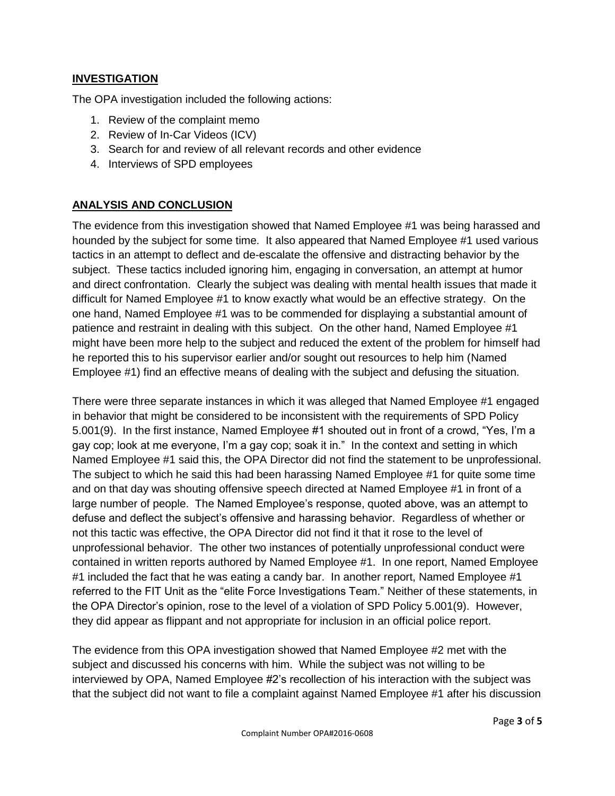#### **INVESTIGATION**

The OPA investigation included the following actions:

- 1. Review of the complaint memo
- 2. Review of In-Car Videos (ICV)
- 3. Search for and review of all relevant records and other evidence
- 4. Interviews of SPD employees

# **ANALYSIS AND CONCLUSION**

The evidence from this investigation showed that Named Employee #1 was being harassed and hounded by the subject for some time. It also appeared that Named Employee #1 used various tactics in an attempt to deflect and de-escalate the offensive and distracting behavior by the subject. These tactics included ignoring him, engaging in conversation, an attempt at humor and direct confrontation. Clearly the subject was dealing with mental health issues that made it difficult for Named Employee #1 to know exactly what would be an effective strategy. On the one hand, Named Employee #1 was to be commended for displaying a substantial amount of patience and restraint in dealing with this subject. On the other hand, Named Employee #1 might have been more help to the subject and reduced the extent of the problem for himself had he reported this to his supervisor earlier and/or sought out resources to help him (Named Employee #1) find an effective means of dealing with the subject and defusing the situation.

There were three separate instances in which it was alleged that Named Employee #1 engaged in behavior that might be considered to be inconsistent with the requirements of SPD Policy 5.001(9). In the first instance, Named Employee #1 shouted out in front of a crowd, "Yes, I'm a gay cop; look at me everyone, I'm a gay cop; soak it in." In the context and setting in which Named Employee #1 said this, the OPA Director did not find the statement to be unprofessional. The subject to which he said this had been harassing Named Employee #1 for quite some time and on that day was shouting offensive speech directed at Named Employee #1 in front of a large number of people. The Named Employee's response, quoted above, was an attempt to defuse and deflect the subject's offensive and harassing behavior. Regardless of whether or not this tactic was effective, the OPA Director did not find it that it rose to the level of unprofessional behavior. The other two instances of potentially unprofessional conduct were contained in written reports authored by Named Employee #1. In one report, Named Employee #1 included the fact that he was eating a candy bar. In another report, Named Employee #1 referred to the FIT Unit as the "elite Force Investigations Team." Neither of these statements, in the OPA Director's opinion, rose to the level of a violation of SPD Policy 5.001(9). However, they did appear as flippant and not appropriate for inclusion in an official police report.

The evidence from this OPA investigation showed that Named Employee #2 met with the subject and discussed his concerns with him. While the subject was not willing to be interviewed by OPA, Named Employee #2's recollection of his interaction with the subject was that the subject did not want to file a complaint against Named Employee #1 after his discussion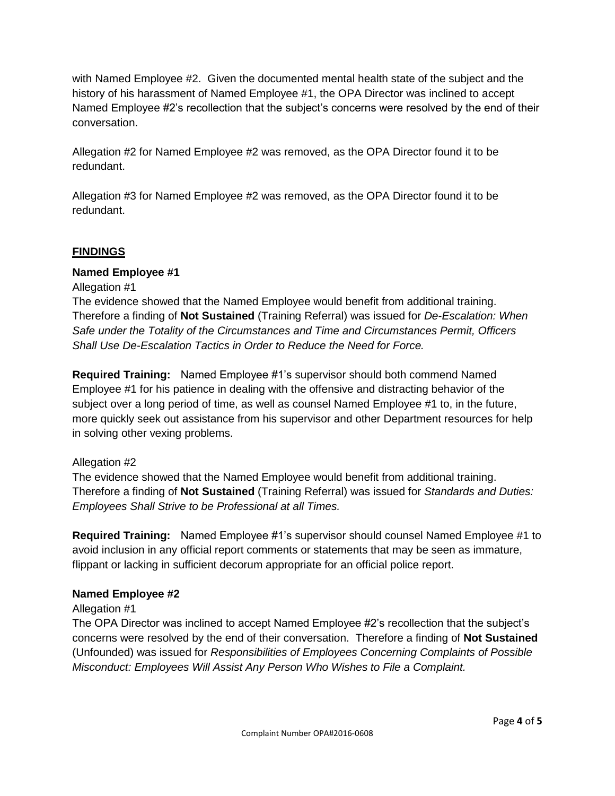with Named Employee #2. Given the documented mental health state of the subject and the history of his harassment of Named Employee #1, the OPA Director was inclined to accept Named Employee #2's recollection that the subject's concerns were resolved by the end of their conversation.

Allegation #2 for Named Employee #2 was removed, as the OPA Director found it to be redundant.

Allegation #3 for Named Employee #2 was removed, as the OPA Director found it to be redundant.

# **FINDINGS**

#### **Named Employee #1**

Allegation #1

The evidence showed that the Named Employee would benefit from additional training. Therefore a finding of **Not Sustained** (Training Referral) was issued for *De-Escalation: When Safe under the Totality of the Circumstances and Time and Circumstances Permit, Officers Shall Use De-Escalation Tactics in Order to Reduce the Need for Force.*

**Required Training:** Named Employee #1's supervisor should both commend Named Employee #1 for his patience in dealing with the offensive and distracting behavior of the subject over a long period of time, as well as counsel Named Employee #1 to, in the future, more quickly seek out assistance from his supervisor and other Department resources for help in solving other vexing problems.

# Allegation #2

The evidence showed that the Named Employee would benefit from additional training. Therefore a finding of **Not Sustained** (Training Referral) was issued for *Standards and Duties: Employees Shall Strive to be Professional at all Times.*

**Required Training:** Named Employee #1's supervisor should counsel Named Employee #1 to avoid inclusion in any official report comments or statements that may be seen as immature, flippant or lacking in sufficient decorum appropriate for an official police report.

# **Named Employee #2**

Allegation #1

The OPA Director was inclined to accept Named Employee #2's recollection that the subject's concerns were resolved by the end of their conversation. Therefore a finding of **Not Sustained** (Unfounded) was issued for *Responsibilities of Employees Concerning Complaints of Possible Misconduct: Employees Will Assist Any Person Who Wishes to File a Complaint.*